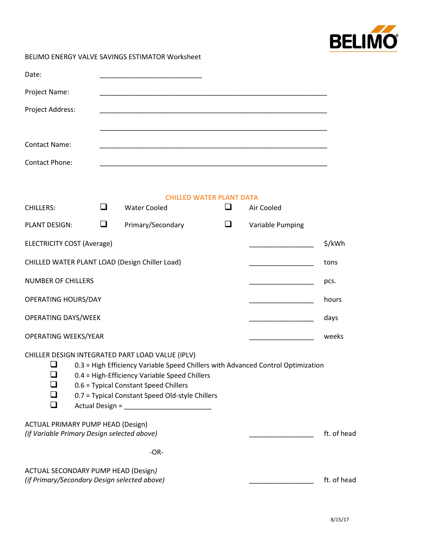

BELIMO ENERGY VALVE SAVINGS ESTIMATOR Worksheet

| Date:                                                                                      |        |                                                                                                                                                                                                                                                                                                             |                                           |                  |             |
|--------------------------------------------------------------------------------------------|--------|-------------------------------------------------------------------------------------------------------------------------------------------------------------------------------------------------------------------------------------------------------------------------------------------------------------|-------------------------------------------|------------------|-------------|
| Project Name:                                                                              |        |                                                                                                                                                                                                                                                                                                             |                                           |                  |             |
| Project Address:                                                                           |        |                                                                                                                                                                                                                                                                                                             |                                           |                  |             |
|                                                                                            |        |                                                                                                                                                                                                                                                                                                             |                                           |                  |             |
| <b>Contact Name:</b>                                                                       |        |                                                                                                                                                                                                                                                                                                             |                                           |                  |             |
| Contact Phone:                                                                             |        |                                                                                                                                                                                                                                                                                                             |                                           |                  |             |
|                                                                                            |        |                                                                                                                                                                                                                                                                                                             |                                           |                  |             |
| <b>CHILLERS:</b>                                                                           | ❏      | <b>Water Cooled</b>                                                                                                                                                                                                                                                                                         | <b>CHILLED WATER PLANT DATA</b><br>$\Box$ | Air Cooled       |             |
| <b>PLANT DESIGN:</b>                                                                       | $\Box$ | Primary/Secondary                                                                                                                                                                                                                                                                                           | $\Box$                                    | Variable Pumping |             |
| <b>ELECTRICITY COST (Average)</b>                                                          |        |                                                                                                                                                                                                                                                                                                             |                                           |                  | \$/kWh      |
|                                                                                            |        | CHILLED WATER PLANT LOAD (Design Chiller Load)                                                                                                                                                                                                                                                              |                                           |                  | tons        |
| <b>NUMBER OF CHILLERS</b>                                                                  |        |                                                                                                                                                                                                                                                                                                             |                                           |                  | pcs.        |
| <b>OPERATING HOURS/DAY</b>                                                                 |        |                                                                                                                                                                                                                                                                                                             |                                           |                  | hours       |
| <b>OPERATING DAYS/WEEK</b><br><u> 1989 - Johann Barbara, martin a</u>                      |        |                                                                                                                                                                                                                                                                                                             |                                           | days             |             |
| OPERATING WEEKS/YEAR                                                                       |        |                                                                                                                                                                                                                                                                                                             |                                           |                  | weeks       |
| ❏                                                                                          |        | CHILLER DESIGN INTEGRATED PART LOAD VALUE (IPLV)<br>0.3 = High Efficiency Variable Speed Chillers with Advanced Control Optimization<br>$\Box$ 0.4 = High-Efficiency Variable Speed Chillers<br>0.6 = Typical Constant Speed Chillers<br>0.7 = Typical Constant Speed Old-style Chillers<br>Actual Design = |                                           |                  |             |
| <b>ACTUAL PRIMARY PUMP HEAD (Design)</b><br>(if Variable Primary Design selected above)    |        |                                                                                                                                                                                                                                                                                                             |                                           |                  | ft. of head |
|                                                                                            |        | $-OR-$                                                                                                                                                                                                                                                                                                      |                                           |                  |             |
| <b>ACTUAL SECONDARY PUMP HEAD (Design)</b><br>(if Primary/Secondary Design selected above) |        |                                                                                                                                                                                                                                                                                                             |                                           |                  | ft. of head |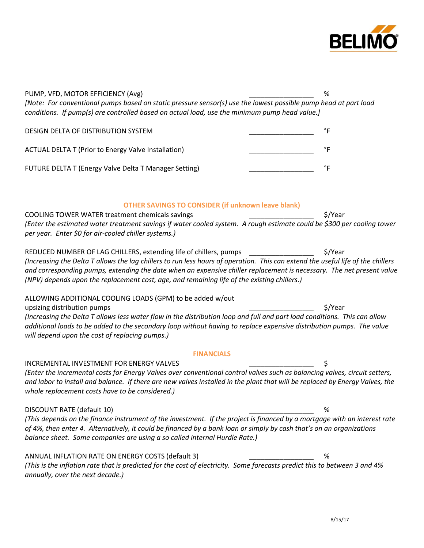

| PUMP, VFD, MOTOR EFFICIENCY (Avg)                                                                                                                                                                                                                                                                                                                       | %       |
|---------------------------------------------------------------------------------------------------------------------------------------------------------------------------------------------------------------------------------------------------------------------------------------------------------------------------------------------------------|---------|
| [Note: For conventional pumps based on static pressure sensor(s) use the lowest possible pump head at part load<br>conditions. If pump(s) are controlled based on actual load, use the minimum pump head value.]                                                                                                                                        |         |
| DESIGN DELTA OF DISTRIBUTION SYSTEM                                                                                                                                                                                                                                                                                                                     | °F      |
| <b>ACTUAL DELTA T (Prior to Energy Valve Installation)</b>                                                                                                                                                                                                                                                                                              | °F      |
| FUTURE DELTA T (Energy Valve Delta T Manager Setting)                                                                                                                                                                                                                                                                                                   | °F      |
| <b>OTHER SAVINGS TO CONSIDER (if unknown leave blank)</b>                                                                                                                                                                                                                                                                                               |         |
| COOLING TOWER WATER treatment chemicals savings                                                                                                                                                                                                                                                                                                         | \$/Year |
| (Enter the estimated water treatment savings if water cooled system. A rough estimate could be \$300 per cooling tower<br>per year. Enter \$0 for air-cooled chiller systems.)                                                                                                                                                                          |         |
| REDUCED NUMBER OF LAG CHILLERS, extending life of chillers, pumps                                                                                                                                                                                                                                                                                       | \$/Year |
| (Increasing the Delta T allows the lag chillers to run less hours of operation. This can extend the useful life of the chillers<br>and corresponding pumps, extending the date when an expensive chiller replacement is necessary. The net present value<br>(NPV) depends upon the replacement cost, age, and remaining life of the existing chillers.) |         |
| ALLOWING ADDITIONAL COOLING LOADS (GPM) to be added w/out                                                                                                                                                                                                                                                                                               |         |
| upsizing distribution pumps                                                                                                                                                                                                                                                                                                                             | \$/Year |
| (Increasing the Delta T allows less water flow in the distribution loop and full and part load conditions. This can allow<br>additional loads to be added to the secondary loop without having to replace expensive distribution pumps. The value<br>will depend upon the cost of replacing pumps.)                                                     |         |
| <b>FINANCIALS</b>                                                                                                                                                                                                                                                                                                                                       |         |
| <b>INCREMENTAL INVESTMENT FOR ENERGY VALVES</b>                                                                                                                                                                                                                                                                                                         | \$      |
| (Enter the incremental costs for Energy Valves over conventional control valves such as balancing valves, circuit setters,<br>and labor to install and balance. If there are new valves installed in the plant that will be replaced by Energy Valves, the<br>whole replacement costs have to be considered.)                                           |         |
| DISCOUNT RATE (default 10)                                                                                                                                                                                                                                                                                                                              | %       |
| (This depends on the finance instrument of the investment. If the project is financed by a mortgage with an interest rate<br>of 4%, then enter 4. Alternatively, it could be financed by a bank loan or simply by cash that's on an organizations<br>balance sheet. Some companies are using a so called internal Hurdle Rate.)                         |         |
|                                                                                                                                                                                                                                                                                                                                                         |         |
| ANNUAL INFLATION RATE ON ENERGY COSTS (default 3)                                                                                                                                                                                                                                                                                                       | %       |
| (This is the inflation rate that is predicted for the cost of electricity. Some forecasts predict this to between 3 and 4%<br>annually, over the next decade.)                                                                                                                                                                                          |         |